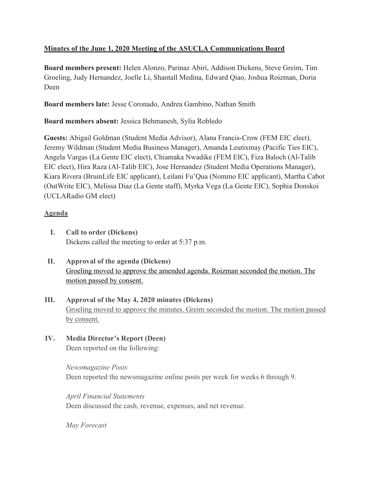# **Minutes of the June 1, 2020 Meeting of the ASUCLA Communications Board**

**Board members present:** Helen Alonzo, Parinaz Abiri, Addison Dickens, Steve Greim, Tim Groeling, Judy Hernandez, Joelle Li, Shantall Medina, Edward Qiao, Joshua Roizman, Doria Deen

**Board members late:** Jesse Coronado, Andrea Gambino, Nathan Smith

**Board members absent:** Jessica Behmanesh, Sylia Robledo

**Guests:** Abigail Goldman (Student Media Advisor), Alana Francis-Crow (FEM EIC elect), Jeremy Wildman (Student Media Business Manager), Amanda Leutixmay (Pacific Ties EIC), Angela Vargas (La Gente EIC elect), Chiamaka Nwadike (FEM EIC), Fiza Baloch (Al-Talib EIC elect), Hira Raza (Al-Talib EIC), Jose Hernandez (Student Media Operations Manager), Kiara Rivera (BruinLife EIC applicant), Leilani Fu'Qua (Nommo EIC applicant), Martha Cabot (OutWrite EIC), Melissa Diaz (La Gente staff), Myrka Vega (La Gente EIC), Sophia Donskoi (UCLARadio GM elect)

### **Agenda**

- **I. Call to order (Dickens)** Dickens called the meeting to order at 5:37 p.m.
- **II. Approval of the agenda (Dickens)** Groeling moved to approve the amended agenda. Roizman seconded the motion. The motion passed by consent.
- **III. Approval of the May 4, 2020 minutes (Dickens)** Groeling moved to approve the minutes. Greim seconded the motion. The motion passed by consent.
- **IV. Media Director's Report (Deen)** Deen reported on the following:

*Newsmagazine Posts* Deen reported the newsmagazine online posts per week for weeks 6 through 9.

*April Financial Statements* Deen discussed the cash, revenue, expenses, and net revenue.

*May Forecast*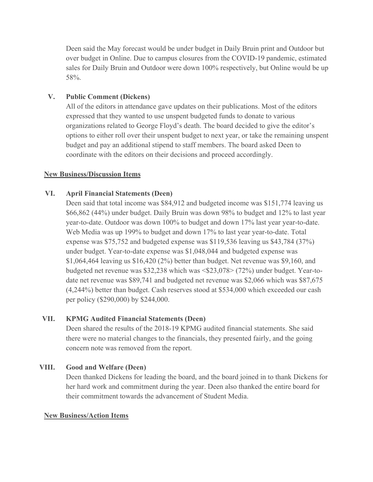Deen said the May forecast would be under budget in Daily Bruin print and Outdoor but over budget in Online. Due to campus closures from the COVID-19 pandemic, estimated sales for Daily Bruin and Outdoor were down 100% respectively, but Online would be up 58%.

## **V. Public Comment (Dickens)**

All of the editors in attendance gave updates on their publications. Most of the editors expressed that they wanted to use unspent budgeted funds to donate to various organizations related to George Floyd's death. The board decided to give the editor's options to either roll over their unspent budget to next year, or take the remaining unspent budget and pay an additional stipend to staff members. The board asked Deen to coordinate with the editors on their decisions and proceed accordingly.

#### **New Business/Discussion Items**

### **VI. April Financial Statements (Deen)**

Deen said that total income was \$84,912 and budgeted income was \$151,774 leaving us \$66,862 (44%) under budget. Daily Bruin was down 98% to budget and 12% to last year year-to-date. Outdoor was down 100% to budget and down 17% last year year-to-date. Web Media was up 199% to budget and down 17% to last year year-to-date. Total expense was \$75,752 and budgeted expense was \$119,536 leaving us \$43,784 (37%) under budget. Year-to-date expense was \$1,048,044 and budgeted expense was \$1,064,464 leaving us \$16,420 (2%) better than budget. Net revenue was \$9,160, and budgeted net revenue was \$32,238 which was <\$23,078> (72%) under budget. Year-todate net revenue was \$89,741 and budgeted net revenue was \$2,066 which was \$87,675 (4,244%) better than budget. Cash reserves stood at \$534,000 which exceeded our cash per policy (\$290,000) by \$244,000.

#### **VII. KPMG Audited Financial Statements (Deen)**

Deen shared the results of the 2018-19 KPMG audited financial statements. She said there were no material changes to the financials, they presented fairly, and the going concern note was removed from the report.

#### **VIII. Good and Welfare (Deen)**

Deen thanked Dickens for leading the board, and the board joined in to thank Dickens for her hard work and commitment during the year. Deen also thanked the entire board for their commitment towards the advancement of Student Media.

#### **New Business/Action Items**